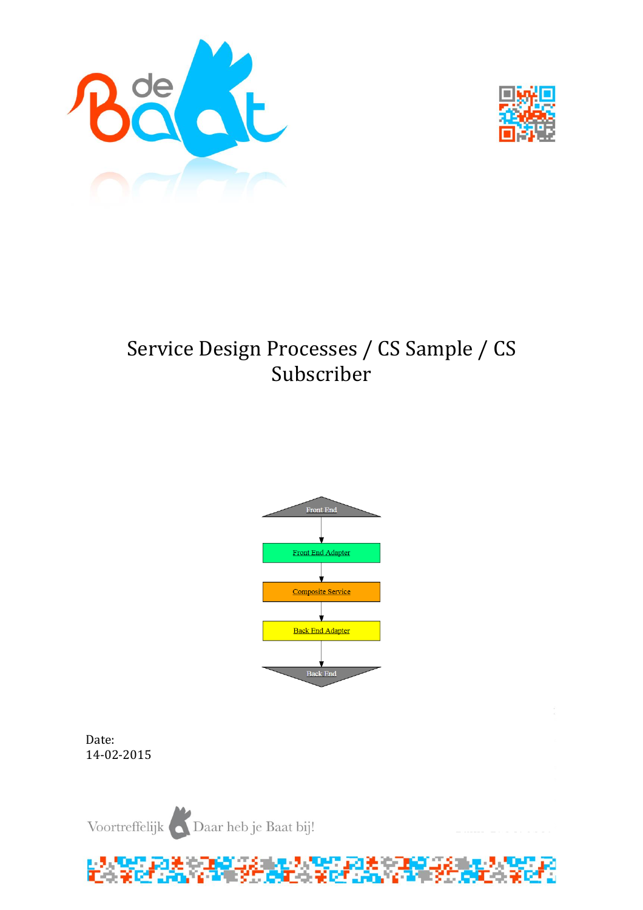



# Service Design Processes / CS Sample / CS Subscriber



Date: 14-02-2015

Voortreffelijk Daar heb je Baat bij!

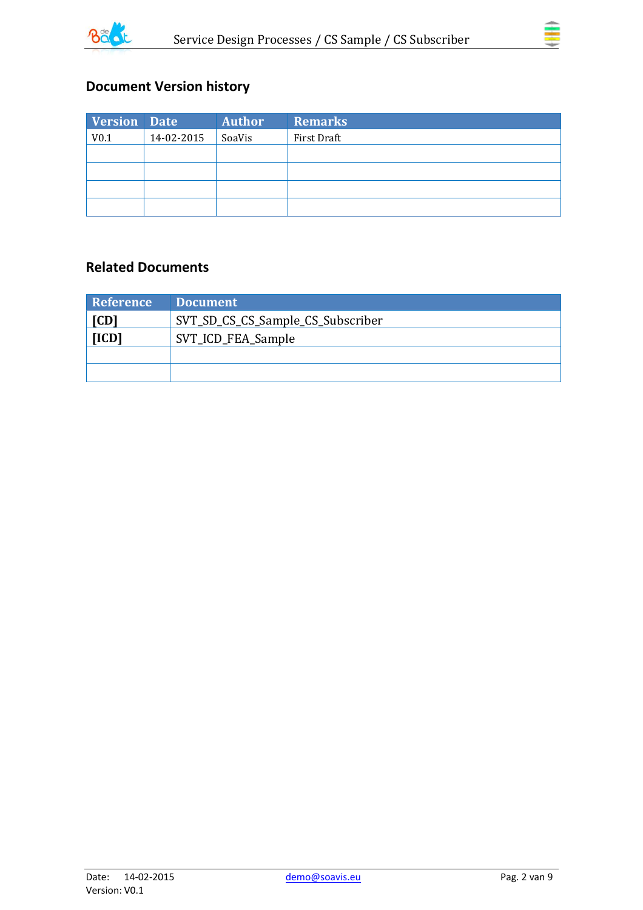



# **Document Version history**

| <b>Version Date</b> |            | <b>Author</b> | <b>Remarks</b> |
|---------------------|------------|---------------|----------------|
| V <sub>0.1</sub>    | 14-02-2015 | SoaVis        | First Draft    |
|                     |            |               |                |
|                     |            |               |                |
|                     |            |               |                |
|                     |            |               |                |

### **Related Documents**

| Reference | <b>Document</b>                   |
|-----------|-----------------------------------|
| [CD]      | SVT_SD_CS_CS_Sample_CS_Subscriber |
| [ICD]     | SVT_ICD_FEA_Sample                |
|           |                                   |
|           |                                   |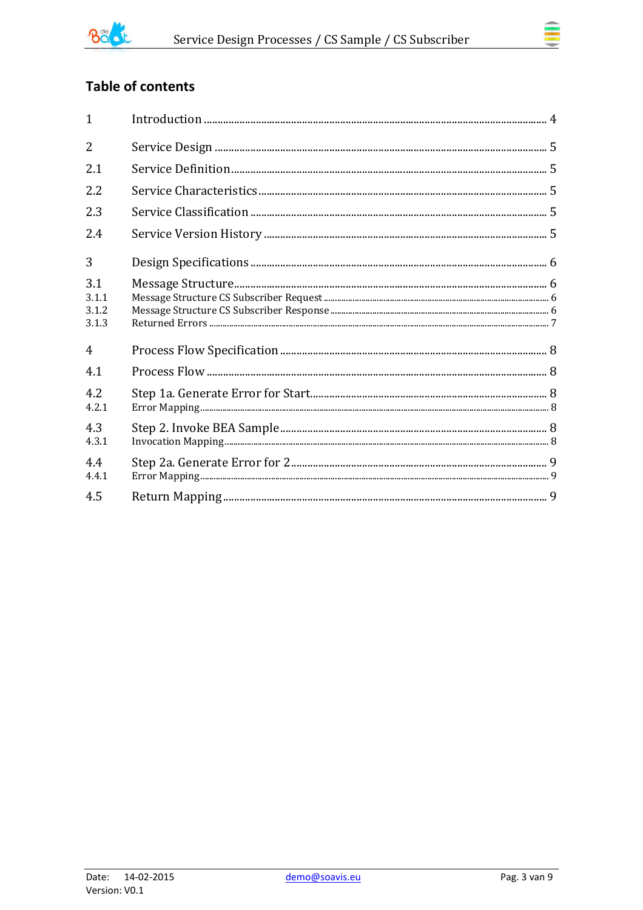

# **Table of contents**

| $\mathbf{1}$                   |  |
|--------------------------------|--|
| $\overline{2}$                 |  |
| 2.1                            |  |
| 2.2                            |  |
| 2.3                            |  |
| 2.4                            |  |
| 3                              |  |
| 3.1<br>3.1.1<br>3.1.2<br>3.1.3 |  |
| 4                              |  |
| 4.1                            |  |
| 4.2<br>4.2.1                   |  |
| 4.3<br>4.3.1                   |  |
| 4.4<br>4.4.1                   |  |
| 4.5                            |  |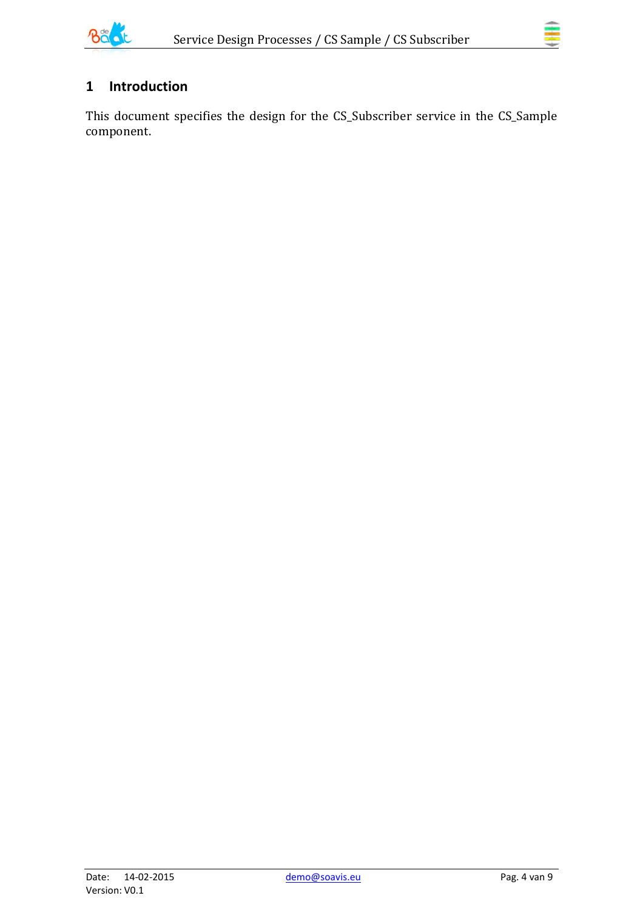

# <span id="page-3-0"></span>**1 Introduction**

This document specifies the design for the CS\_Subscriber service in the CS\_Sample component.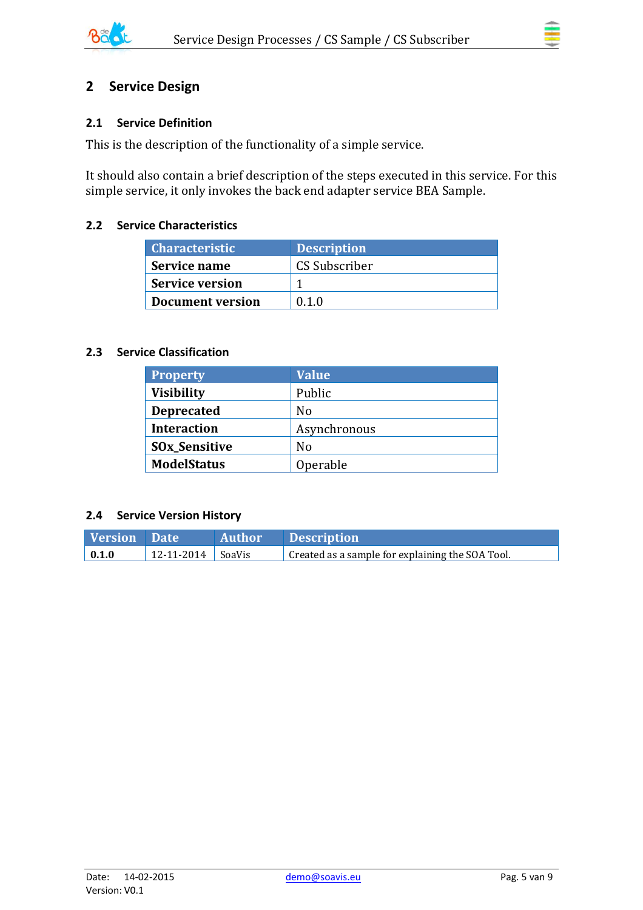

## <span id="page-4-0"></span>**2 Service Design**

#### <span id="page-4-1"></span>**2.1 Service Definition**

This is the description of the functionality of a simple service.

It should also contain a brief description of the steps executed in this service. For this simple service, it only invokes the back end adapter service BEA Sample.

#### <span id="page-4-2"></span>**2.2 Service Characteristics**

| <b>Characteristic</b>   | <b>Description</b> |
|-------------------------|--------------------|
| Service name            | CS Subscriber      |
| <b>Service version</b>  |                    |
| <b>Document version</b> | 0.1.0              |

#### <span id="page-4-3"></span>**2.3 Service Classification**

| <b>Property</b>      | <b>Value</b> |
|----------------------|--------------|
| <b>Visibility</b>    | Public       |
| <b>Deprecated</b>    | No           |
| <b>Interaction</b>   | Asynchronous |
| <b>SOx_Sensitive</b> | No           |
| <b>ModelStatus</b>   | Operable     |

#### <span id="page-4-4"></span>**2.4 Service Version History**

| <b>Version</b> Date |                       | Author Description                               |
|---------------------|-----------------------|--------------------------------------------------|
| $\vert 0.1.0 \vert$ | $12-11-2014$   SoaVis | Created as a sample for explaining the SOA Tool. |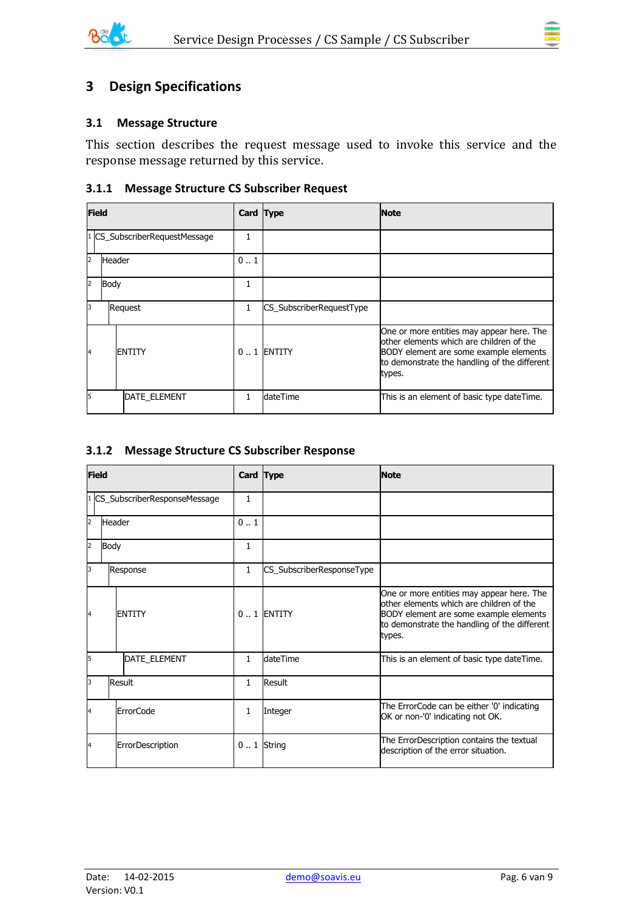

#### <span id="page-5-1"></span><span id="page-5-0"></span>**3.1 Message Structure**

This section describes the request message used to invoke this service and the response message returned by this service.

#### <span id="page-5-2"></span>**3.1.1 Message Structure CS Subscriber Request**

| <b>Field</b>         |        |                               | Card Type    |                          | <b>Note</b>                                                                                                                                                                               |
|----------------------|--------|-------------------------------|--------------|--------------------------|-------------------------------------------------------------------------------------------------------------------------------------------------------------------------------------------|
|                      |        | 1 CS_SubscriberRequestMessage | 1            |                          |                                                                                                                                                                                           |
| 2                    | Header |                               | 01           |                          |                                                                                                                                                                                           |
| $\vert$ <sub>2</sub> | Body   |                               |              |                          |                                                                                                                                                                                           |
| Iз                   |        | Request                       | $\mathbf{1}$ | CS_SubscriberRequestType |                                                                                                                                                                                           |
| $\overline{A}$       |        | <b>ENTITY</b>                 |              | $0.1$ ENTITY             | One or more entities may appear here. The<br>other elements which are children of the<br>BODY element are some example elements<br>to demonstrate the handling of the different<br>types. |
| I5                   |        | <b>DATE ELEMENT</b>           |              | dateTime                 | This is an element of basic type dateTime.                                                                                                                                                |

#### <span id="page-5-3"></span>**3.1.2 Message Structure CS Subscriber Response**

| <b>Field</b>   |                              |                  | Card Type    |                           | <b>Note</b>                                                                                                                                                                               |
|----------------|------------------------------|------------------|--------------|---------------------------|-------------------------------------------------------------------------------------------------------------------------------------------------------------------------------------------|
|                | CS_SubscriberResponseMessage |                  | $\mathbf{1}$ |                           |                                                                                                                                                                                           |
| $\overline{2}$ | Header                       |                  | 0.1          |                           |                                                                                                                                                                                           |
| 2              | Body                         |                  | 1            |                           |                                                                                                                                                                                           |
| 3              |                              | Response         | $\mathbf{1}$ | CS_SubscriberResponseType |                                                                                                                                                                                           |
| 4              |                              | <b>ENTITY</b>    |              | $0.1$ ENTITY              | One or more entities may appear here. The<br>other elements which are children of the<br>BODY element are some example elements<br>to demonstrate the handling of the different<br>types. |
| 5              |                              | DATE_ELEMENT     | $\mathbf{1}$ | dateTime                  | This is an element of basic type dateTime.                                                                                                                                                |
| 3              |                              | Result           | $\mathbf{1}$ | <b>Result</b>             |                                                                                                                                                                                           |
| 4              |                              | <b>ErrorCode</b> | $\mathbf{1}$ | Integer                   | The ErrorCode can be either '0' indicating<br>OK or non-'0' indicating not OK.                                                                                                            |
| 4              |                              | ErrorDescription | $0.1$ String |                           | The ErrorDescription contains the textual<br>description of the error situation.                                                                                                          |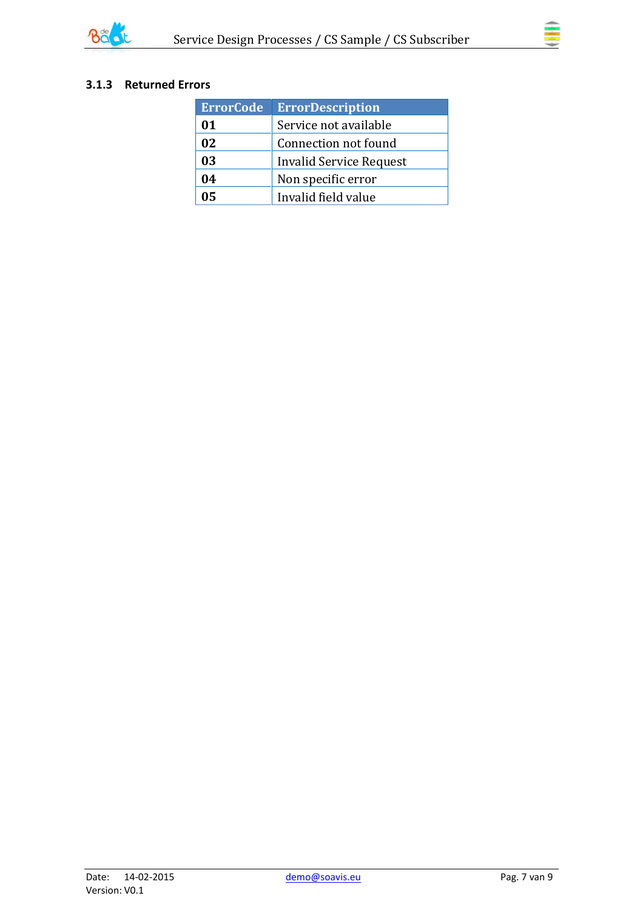

### <span id="page-6-0"></span>**3.1.3 Returned Errors**

| <b>ErrorCode</b> | <b>ErrorDescription</b> |
|------------------|-------------------------|
| 01               | Service not available   |
| 02               | Connection not found    |
| 03               | Invalid Service Request |
| 04               | Non specific error      |
| 05               | Invalid field value     |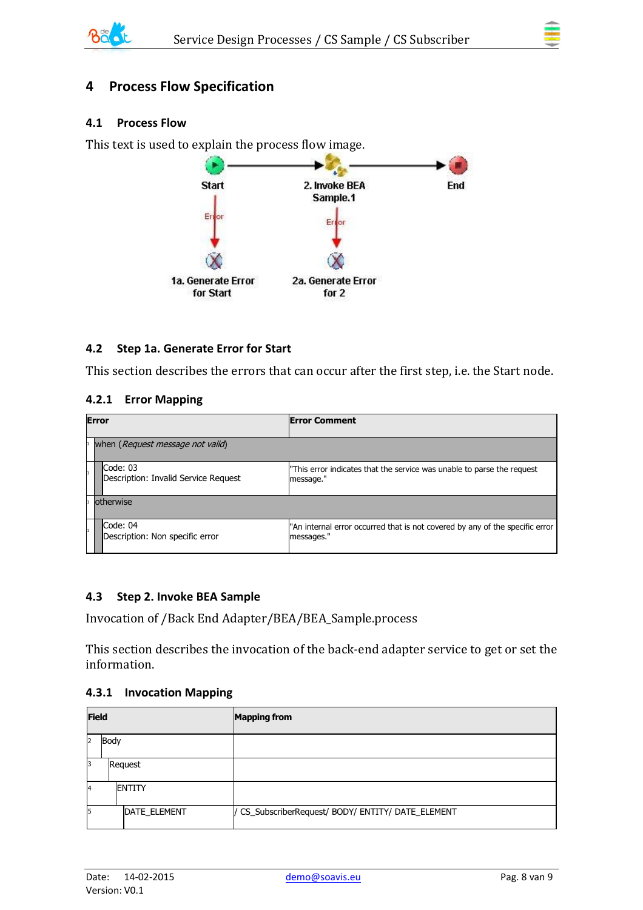

# <span id="page-7-0"></span>**4 Process Flow Specification**

#### <span id="page-7-1"></span>**4.1 Process Flow**

This text is used to explain the process flow image.



#### <span id="page-7-2"></span>**4.2 Step 1a. Generate Error for Start**

This section describes the errors that can occur after the first step, i.e. the Start node.

#### <span id="page-7-3"></span>**4.2.1 Error Mapping**

| <b>Error</b> |                                                  | <b>Error Comment</b>                                                                       |  |  |
|--------------|--------------------------------------------------|--------------------------------------------------------------------------------------------|--|--|
|              | when (Request message not valid)                 |                                                                                            |  |  |
|              | Code: 03<br>Description: Invalid Service Request | "This error indicates that the service was unable to parse the request<br>message."        |  |  |
|              | lotherwise                                       |                                                                                            |  |  |
|              | Code: 04<br>Description: Non specific error      | "An internal error occurred that is not covered by any of the specific error<br>messages." |  |  |

#### <span id="page-7-4"></span>**4.3 Step 2. Invoke BEA Sample**

Invocation of /Back End Adapter/BEA/BEA\_Sample.process

This section describes the invocation of the back-end adapter service to get or set the information.

#### <span id="page-7-5"></span>**4.3.1 Invocation Mapping**

| <b>Field</b> |      |                | <b>Mapping from</b>                                |
|--------------|------|----------------|----------------------------------------------------|
| 12           | Body |                |                                                    |
| 13           |      | Request        |                                                    |
| 4            |      | <b>IENTITY</b> |                                                    |
| 5            |      | DATE_ELEMENT   | / CS_SubscriberRequest/ BODY/ ENTITY/ DATE_ELEMENT |